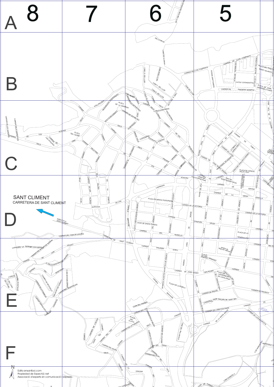